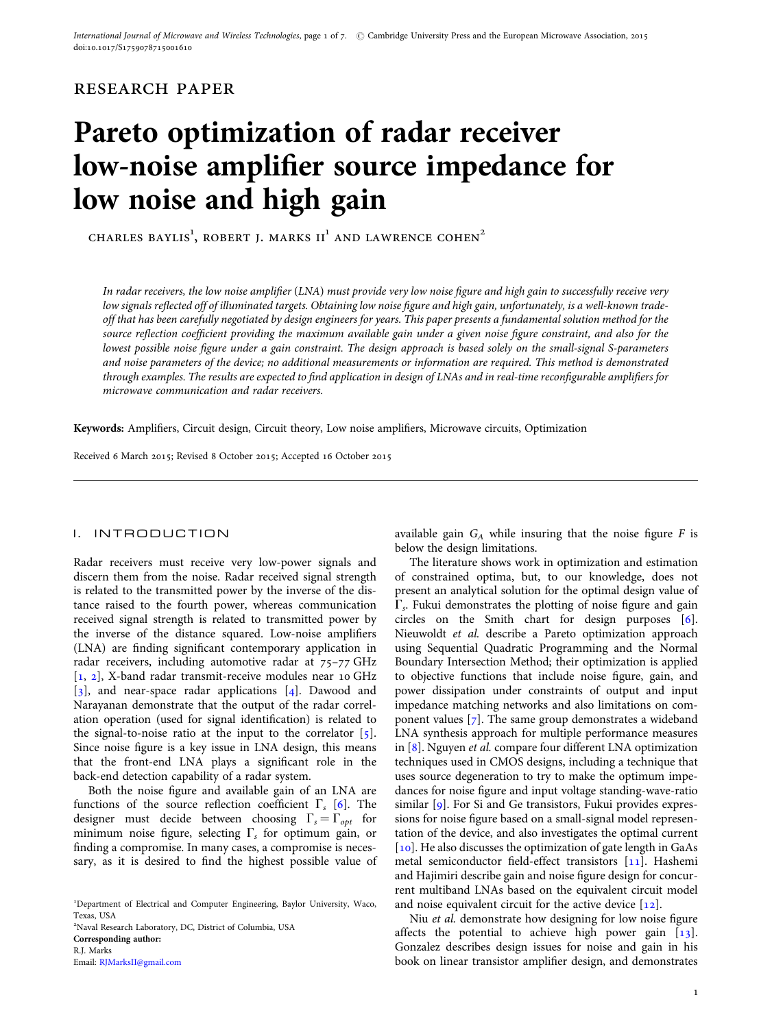## research paper

# Pareto optimization of radar receiver low-noise amplifier source impedance for low noise and high gain

CHARLES BAYLIS<sup>1</sup>, ROBERT J. MARKS II<sup>1</sup> AND LAWRENCE COHEN<sup>2</sup>

In radar receivers, the low noise amplifier (LNA) must provide very low noise figure and high gain to successfully receive very low signals reflected off of illuminated targets. Obtaining low noise figure and high gain, unfortunately, is a well-known tradeoff that has been carefully negotiated by design engineers for years. This paper presents a fundamental solution method for the source reflection coefficient providing the maximum available gain under a given noise figure constraint, and also for the lowest possible noise figure under a gain constraint. The design approach is based solely on the small-signal S-parameters and noise parameters of the device; no additional measurements or information are required. This method is demonstrated through examples. The results are expected to find application in design of LNAs and in real-time reconfigurable amplifiers for microwave communication and radar receivers.

Keywords: Amplifiers, Circuit design, Circuit theory, Low noise amplifiers, Microwave circuits, Optimization

Received 6 March 2015; Revised 8 October 2015; Accepted 16 October 2015

#### I. INTRODUCTION

Radar receivers must receive very low-power signals and discern them from the noise. Radar received signal strength is related to the transmitted power by the inverse of the distance raised to the fourth power, whereas communication received signal strength is related to transmitted power by the inverse of the distance squared. Low-noise amplifiers (LNA) are finding significant contemporary application in radar receivers, including automotive radar at 75–77 GHz [[1,](#page-4-0) [2\]](#page-5-0), X-band radar transmit-receive modules near 10 GHz [[3\]](#page-5-0), and near-space radar applications [[4](#page-5-0)]. Dawood and Narayanan demonstrate that the output of the radar correlation operation (used for signal identification) is related to the signal-to-noise ratio at the input to the correlator  $\lceil 5 \rceil$  $\lceil 5 \rceil$  $\lceil 5 \rceil$ . Since noise figure is a key issue in LNA design, this means that the front-end LNA plays a significant role in the back-end detection capability of a radar system.

Both the noise figure and available gain of an LNA are functions of the source reflection coefficient  $\Gamma_{s}$  [\[6\]](#page-5-0). The designer must decide between choosing  $\Gamma_s = \Gamma_{opt}$  for minimum noise figure, selecting  $\Gamma_s$  for optimum gain, or finding a compromise. In many cases, a compromise is necessary, as it is desired to find the highest possible value of

1 Department of Electrical and Computer Engineering, Baylor University, Waco, Texas, USA

2 Naval Research Laboratory, DC, District of Columbia, USA

Corresponding author: R.J. Marks Email: [RJMarksII@gmail.com](mailto:RJMarksII@gmail.com)  $\Gamma_s$ . Fukui demonstrates the plotting of noise figure and gain circles on the Smith chart for design purposes [[6](#page-5-0)].

below the design limitations.

available gain  $G_A$  while insuring that the noise figure F is

The literature shows work in optimization and estimation of constrained optima, but, to our knowledge, does not present an analytical solution for the optimal design value of

Nieuwoldt et al. describe a Pareto optimization approach using Sequential Quadratic Programming and the Normal Boundary Intersection Method; their optimization is applied to objective functions that include noise figure, gain, and power dissipation under constraints of output and input impedance matching networks and also limitations on component values  $[7]$  $[7]$  $[7]$ . The same group demonstrates a wideband LNA synthesis approach for multiple performance measures in [[8](#page-5-0)]. Nguyen et al. compare four different LNA optimization techniques used in CMOS designs, including a technique that uses source degeneration to try to make the optimum impedances for noise figure and input voltage standing-wave-ratio similar  $\lceil 9 \rceil$ . For Si and Ge transistors, Fukui provides expressions for noise figure based on a small-signal model representation of the device, and also investigates the optimal current [[10](#page-5-0)]. He also discusses the optimization of gate length in GaAs metal semiconductor field-effect transistors [\[11](#page-5-0)]. Hashemi and Hajimiri describe gain and noise figure design for concurrent multiband LNAs based on the equivalent circuit model and noise equivalent circuit for the active device  $[12]$  $[12]$ .

Niu et al. demonstrate how designing for low noise figure affects the potential to achieve high power gain [\[13](#page-5-0)]. Gonzalez describes design issues for noise and gain in his book on linear transistor amplifier design, and demonstrates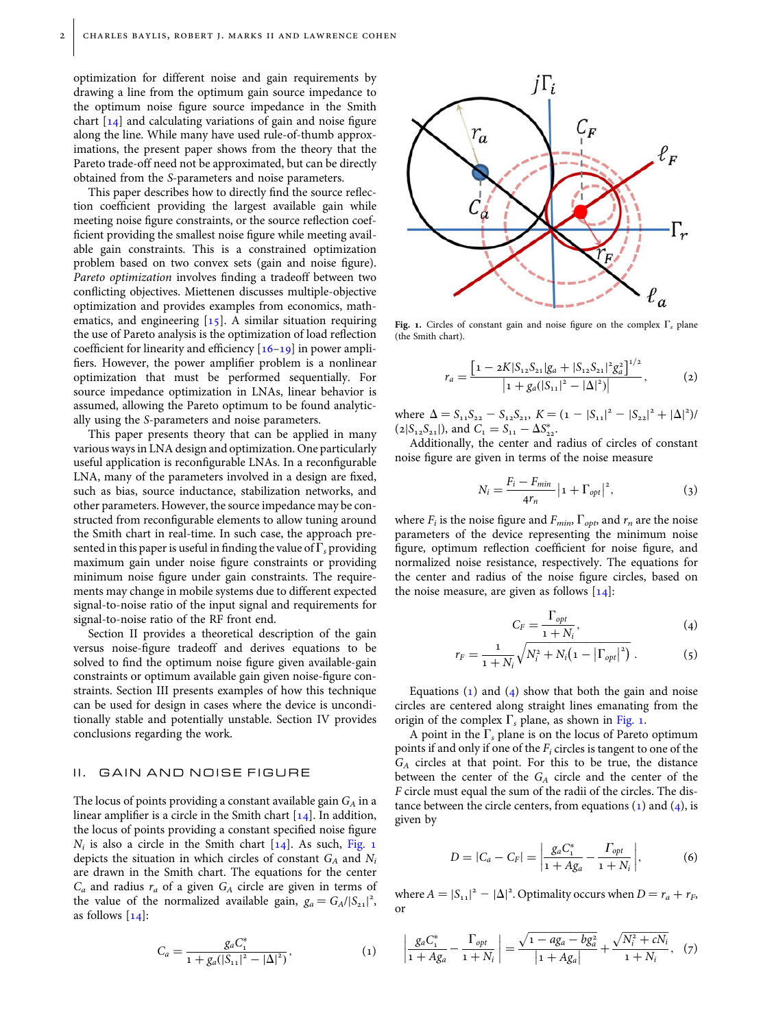<span id="page-1-0"></span>optimization for different noise and gain requirements by drawing a line from the optimum gain source impedance to the optimum noise figure source impedance in the Smith chart  $[14]$  and calculating variations of gain and noise figure along the line. While many have used rule-of-thumb approximations, the present paper shows from the theory that the Pareto trade-off need not be approximated, but can be directly obtained from the S-parameters and noise parameters.

This paper describes how to directly find the source reflection coefficient providing the largest available gain while meeting noise figure constraints, or the source reflection coefficient providing the smallest noise figure while meeting available gain constraints. This is a constrained optimization problem based on two convex sets (gain and noise figure). Pareto optimization involves finding a tradeoff between two conflicting objectives. Miettenen discusses multiple-objective optimization and provides examples from economics, mathematics, and engineering [\[15\]](#page-5-0). A similar situation requiring the use of Pareto analysis is the optimization of load reflection coefficient for linearity and efficiency  $[16–19]$  $[16–19]$  in power amplifiers. However, the power amplifier problem is a nonlinear optimization that must be performed sequentially. For source impedance optimization in LNAs, linear behavior is assumed, allowing the Pareto optimum to be found analytically using the S-parameters and noise parameters.

This paper presents theory that can be applied in many various ways in LNA design and optimization. One particularly useful application is reconfigurable LNAs. In a reconfigurable LNA, many of the parameters involved in a design are fixed, such as bias, source inductance, stabilization networks, and other parameters. However, the source impedance may be constructed from reconfigurable elements to allow tuning around the Smith chart in real-time. In such case, the approach presented in this paper is useful in finding the value of  $\Gamma<sub>s</sub>$  providing maximum gain under noise figure constraints or providing minimum noise figure under gain constraints. The requirements may change in mobile systems due to different expected signal-to-noise ratio of the input signal and requirements for signal-to-noise ratio of the RF front end.

Section II provides a theoretical description of the gain versus noise-figure tradeoff and derives equations to be solved to find the optimum noise figure given available-gain constraints or optimum available gain given noise-figure constraints. Section III presents examples of how this technique can be used for design in cases where the device is unconditionally stable and potentially unstable. Section IV provides conclusions regarding the work.

### II. GAIN AND NOISE FIGURE

The locus of points providing a constant available gain  $G_A$  in a linear amplifier is a circle in the Smith chart  $[14]$  $[14]$ . In addition, the locus of points providing a constant specified noise figure  $N_i$  is also a circle in the Smith chart  $[14]$  $[14]$ . As such, Fig. 1 depicts the situation in which circles of constant  $G_A$  and  $N_i$ are drawn in the Smith chart. The equations for the center  $C_a$  and radius  $r_a$  of a given  $G_A$  circle are given in terms of the value of the normalized available gain,  $g_a = G_A/|S_{21}|^2$ , as follows  $[14]$  $[14]$ :

$$
C_a = \frac{g_a C_1^*}{1 + g_a (|S_{11}|^2 - |\Delta|^2)},
$$
\n(1)



Fig. 1. Circles of constant gain and noise figure on the complex  $\Gamma_s$  plane (the Smith chart).

$$
r_a = \frac{\left[1 - 2K|S_{12}S_{21}|g_a + |S_{12}S_{21}|^2 g_a^2\right]^{1/2}}{\left|1 + g_a(|S_{11}|^2 - |\Delta|^2)\right|},\tag{2}
$$

where  $\Delta = S_{11}S_{22} - S_{12}S_{21}$ ,  $K = (1 - |S_{11}|^2 - |S_{22}|^2 + |\Delta|^2)$  $(2|S_{12}S_{21}|)$ , and  $C_1 = S_{11} - \Delta S_{22}^*$ .

Additionally, the center and radius of circles of constant noise figure are given in terms of the noise measure

$$
N_i = \frac{F_i - F_{min}}{4r_n} |1 + \Gamma_{opt}|^2,
$$
 (3)

where  $F_i$  is the noise figure and  $F_{min}$ ,  $\Gamma_{opt}$ , and  $r_n$  are the noise parameters of the device representing the minimum noise figure, optimum reflection coefficient for noise figure, and normalized noise resistance, respectively. The equations for the center and radius of the noise figure circles, based on the noise measure, are given as follows  $[14]$  $[14]$  $[14]$ :

$$
C_F = \frac{\Gamma_{opt}}{1 + N_i},\tag{4}
$$

$$
r_F = \frac{1}{1 + N_i} \sqrt{N_i^2 + N_i \left(1 - \left|\Gamma_{opt}\right|^2\right)} \ . \tag{5}
$$

Equations  $(1)$  and  $(4)$  show that both the gain and noise circles are centered along straight lines emanating from the origin of the complex  $\Gamma_s$  plane, as shown in Fig. 1.

A point in the  $\Gamma_s$  plane is on the locus of Pareto optimum points if and only if one of the  $F_i$  circles is tangent to one of the  $G_A$  circles at that point. For this to be true, the distance between the center of the  $G_A$  circle and the center of the F circle must equal the sum of the radii of the circles. The distance between the circle centers, from equations  $(1)$  and  $(4)$ , is given by

$$
D = |C_a - C_F| = \left| \frac{g_a C_1^*}{1 + Ag_a} - \frac{\Gamma_{opt}}{1 + N_i} \right|,\tag{6}
$$

where  $A = |S_{11}|^2 - |\Delta|^2$ . Optimality occurs when  $D = r_a + r_F$ or

$$
\left|\frac{g_a C_1^*}{1 + Ag_a} - \frac{\Gamma_{opt}}{1 + N_i}\right| = \frac{\sqrt{1 - ag_a - bg_a^2}}{\left|1 + Ag_a\right|} + \frac{\sqrt{N_i^2 + cN_i}}{1 + N_i}, \quad (7)
$$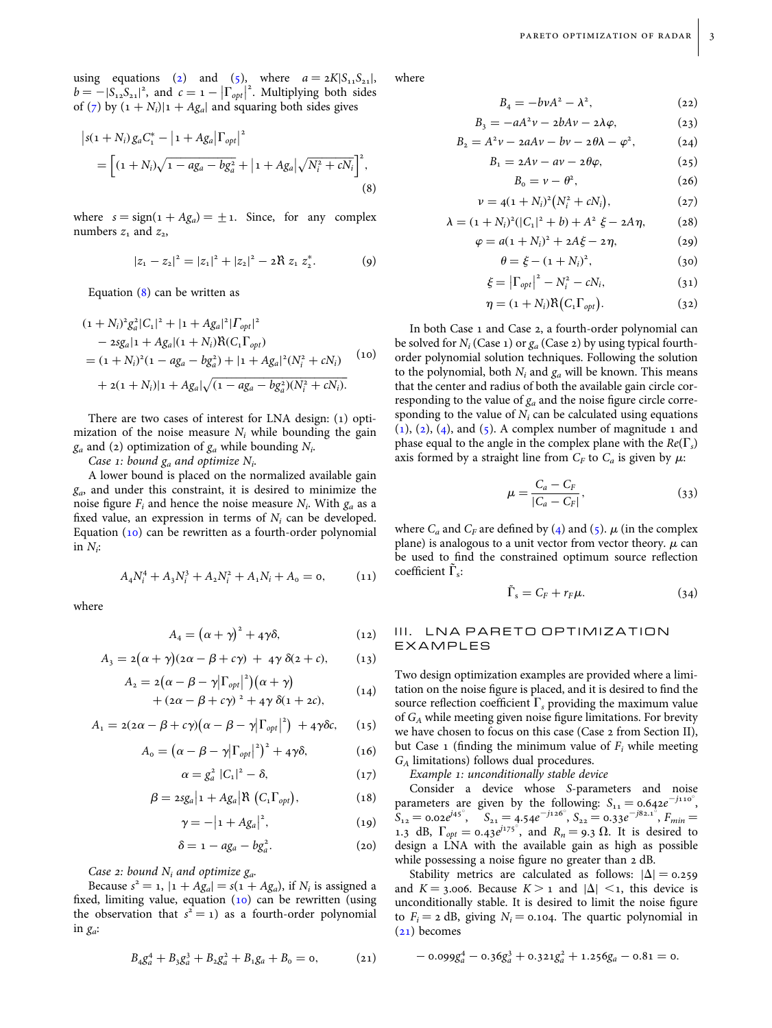$(22)$ 

<span id="page-2-0"></span>using equations [\(2\)](#page-1-0) and [\(5\)](#page-1-0), where  $a = 2K|S_{11}S_{21}|$ ,  $b = -|S_{12}S_{21}|^2$ , and  $c = 1 - |\Gamma_{opt}|^2$ . Multiplying both sides of [\(7\)](#page-1-0) by  $(1 + N_i)|1 + Ag_a|$  and squaring both sides gives

$$
\begin{aligned} \left| s(1+N_i) g_a C_1^* - \left| 1 + A g_a \right| \Gamma_{opt} \right|^2 \\ &= \left[ (1+N_i) \sqrt{1 - a g_a - b g_a^2} + \left| 1 + A g_a \right| \sqrt{N_i^2 + c N_i} \right]^2, \end{aligned} \tag{8}
$$

where  $s = sign(1 + Ag_a) = \pm 1$ . Since, for any complex numbers  $z_1$  and  $z_2$ ,

$$
|z_1 - z_2|^2 = |z_1|^2 + |z_2|^2 - 2\Re z_1 z_2^*.
$$
 (9)

Equation (8) can be written as

$$
(1 + N_i)^2 g_a^2 |C_1|^2 + |1 + Ag_a|^2 |T_{opt}|^2
$$
  
\n
$$
- 2sg_a |1 + Ag_a|(1 + N_i) \mathcal{R}(C_1 \Gamma_{opt})
$$
  
\n
$$
= (1 + N_i)^2 (1 - ag_a - bg_a^2) + |1 + Ag_a|^2 (N_i^2 + cN_i)
$$
  
\n
$$
+ 2(1 + N_i) |1 + Ag_a| \sqrt{(1 - ag_a - bg_a^2)(N_i^2 + cN_i)}.
$$
 (10)

There are two cases of interest for LNA design: (1) optimization of the noise measure  $N_i$  while bounding the gain  $g_a$  and (2) optimization of  $g_a$  while bounding  $N_i$ .

Case 1: bound  $g_a$  and optimize  $N_i$ .

A lower bound is placed on the normalized available gain  $g_a$ , and under this constraint, it is desired to minimize the noise figure  $F_i$  and hence the noise measure  $N_i$ . With  $g_a$  as a fixed value, an expression in terms of  $N_i$  can be developed. Equation (10) can be rewritten as a fourth-order polynomial in  $N_i$ :

$$
A_4 N_i^4 + A_3 N_i^3 + A_2 N_i^2 + A_1 N_i + A_0 = 0, \qquad (11)
$$

where

$$
A_4 = \left(\alpha + \gamma\right)^2 + 4\gamma\delta, \tag{12}
$$

$$
A_3 = 2(\alpha + \gamma)(2\alpha - \beta + c\gamma) + 4\gamma \delta(2 + c), \qquad (13)
$$

$$
A_2 = 2(\alpha - \beta - \gamma |\Gamma_{opt}|^2)(\alpha + \gamma) + (2\alpha - \beta + c\gamma)^2 + 4\gamma \delta(1 + 2c),
$$
 (14)

$$
A_1 = 2(2\alpha - \beta + c\gamma)(\alpha - \beta - \gamma |\Gamma_{opt}|^2) + 4\gamma \delta c, \quad (15)
$$

$$
A_{o} = \left(\alpha - \beta - \gamma |\Gamma_{opt}|^{2}\right)^{2} + 4\gamma \delta, \tag{16}
$$

$$
\alpha = g_a^2 \left| C_1 \right|^2 - \delta, \tag{17}
$$

$$
\beta = 2sg_a|1 + Ag_a|\mathcal{R}(C_1\Gamma_{opt}), \qquad (18)
$$

$$
\gamma = -\left|1 + Ag_a\right|^2,\tag{19}
$$

$$
\delta = 1 - ag_a - bg_a^2. \tag{20}
$$

Case 2: bound  $N_i$  and optimize  $g_a$ .

Because  $s^2 = 1$ ,  $|1 + Ag_a| = s(1 + Ag_a)$ , if  $N_i$  is assigned a fixed, limiting value, equation (10) can be rewritten (using the observation that  $s^2 = 1$ ) as a fourth-order polynomial in  $g_a$ :

$$
B_4 g_a^4 + B_3 g_a^3 + B_2 g_a^2 + B_1 g_a + B_0 = 0, \qquad (21)
$$

where

$$
B_4=-bvA^2-\lambda^2,
$$

$$
B_3 = -aA^2\nu - 2bAv - 2\lambda\varphi, \qquad (23)
$$

$$
B_2 = A^2 v - 2aAv - bv - 2\theta\lambda - \varphi^2, \qquad (24)
$$

$$
B_1 = 2Av - av - 2\theta\varphi, \qquad (25)
$$

$$
B_0 = \nu - \theta^2, \qquad (26)
$$

$$
\nu = 4(1 + N_i)^2 (N_i^2 + cN_i), \qquad (27)
$$

$$
\lambda = (1 + N_i)^2 (|C_1|^2 + b) + A^2 \xi - 2A \eta, \qquad (28)
$$

$$
\varphi = a(1 + N_i)^2 + 2A\xi - 2\eta, \tag{29}
$$

$$
\theta = \xi - (1 + N_i)^2, \tag{30}
$$

$$
\xi = \left|\Gamma_{opt}\right|^2 - N_i^2 - cN_i,\tag{31}
$$

$$
\eta = (1 + N_i) \Re (C_1 \Gamma_{opt}). \tag{32}
$$

In both Case 1 and Case 2, a fourth-order polynomial can be solved for  $N_i$  (Case 1) or  $g_a$  (Case 2) by using typical fourthorder polynomial solution techniques. Following the solution to the polynomial, both  $N_i$  and  $g_a$  will be known. This means that the center and radius of both the available gain circle corresponding to the value of  $g_a$  and the noise figure circle corresponding to the value of  $N_i$  can be calculated using equations  $(1)$  $(1)$ ,  $(2)$  $(2)$ ,  $(4)$ , and  $(5)$ . A complex number of magnitude 1 and phase equal to the angle in the complex plane with the  $Re(\Gamma_s)$ axis formed by a straight line from  $C_F$  to  $C_a$  is given by  $\mu$ :

$$
\mu = \frac{C_a - C_F}{|C_a - C_F|},
$$
\n(33)

where  $C_a$  and  $C_F$  are defined by ([4](#page-1-0)) and [\(5\)](#page-1-0).  $\mu$  (in the complex plane) is analogous to a unit vector from vector theory.  $\mu$  can be used to find the constrained optimum source reflection coefficient  $\Gamma_s$ :

$$
\tilde{\Gamma}_s = C_F + r_F \mu. \tag{34}
$$

## III. LNA PARETO OPTIMIZATION EXAMPLES

Two design optimization examples are provided where a limitation on the noise figure is placed, and it is desired to find the source reflection coefficient  $\Gamma<sub>s</sub>$  providing the maximum value of  $G_A$  while meeting given noise figure limitations. For brevity we have chosen to focus on this case (Case 2 from Section II), but Case 1 (finding the minimum value of  $F_i$  while meeting GA limitations) follows dual procedures.

Example 1: unconditionally stable device

Consider a device whose S-parameters and noise parameters are given by the following:  $S_{11} = 0.642e^{-j110^{\circ}}$ ,  $S_{12} = 0.02e^{j45^{\circ}}, \quad S_{21} = 4.54e^{-j126^{\circ}}, \quad S_{22} = 0.33e^{-j82.1^{\circ}}, \quad F_{min} =$ 1.3 dB,  $\Gamma_{opt} = 0.43e^{j_175^\circ}$ , and  $R_n = 9.3 \Omega$ . It is desired to design a LNA with the available gain as high as possible while possessing a noise figure no greater than 2 dB.

Stability metrics are calculated as follows:  $|\Delta| = 0.259$ and  $K = 3.006$ . Because  $K > 1$  and  $|\Delta| < 1$ , this device is unconditionally stable. It is desired to limit the noise figure to  $F_i = 2$  dB, giving  $N_i = 0.104$ . The quartic polynomial in (21) becomes

$$
-0.099g_a^4 - 0.36g_a^3 + 0.321g_a^2 + 1.256g_a - 0.81 = 0.
$$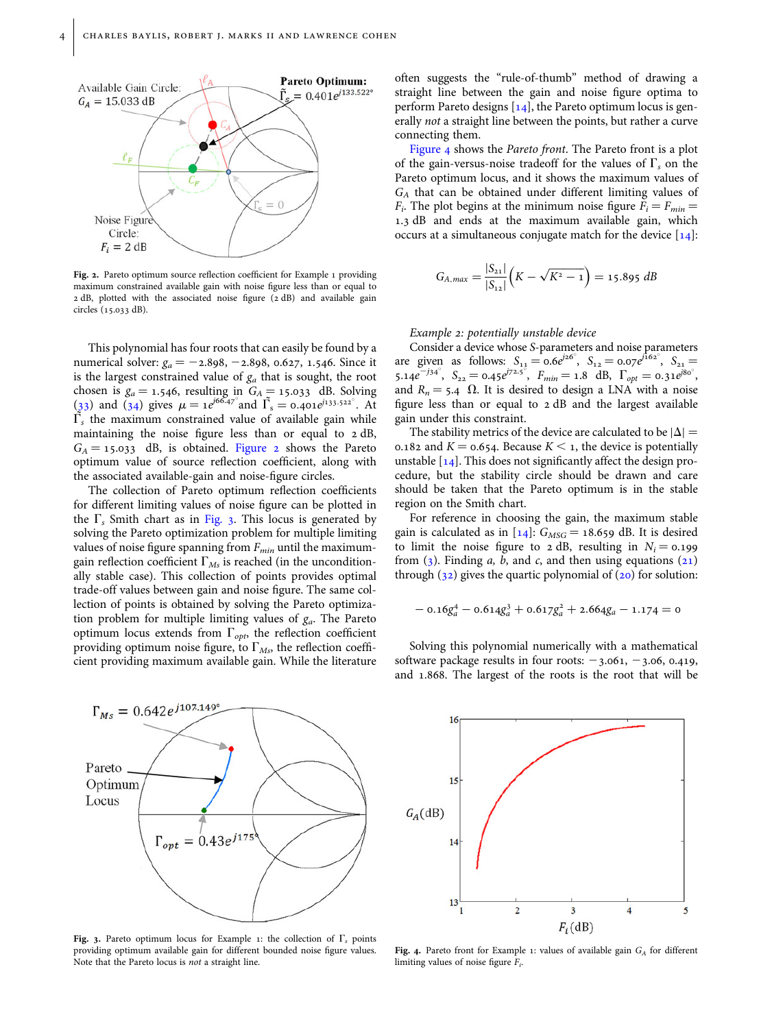

Fig. 2. Pareto optimum source reflection coefficient for Example 1 providing maximum constrained available gain with noise figure less than or equal to 2 dB, plotted with the associated noise figure (2 dB) and available gain circles (15.033 dB).

This polynomial has four roots that can easily be found by a numerical solver:  $g_a = -2.898, -2.898, 0.627, 1.546$ . Since it is the largest constrained value of  $g_a$  that is sought, the root chosen is  $g_a = 1.546$ , resulting in  $G_A = 15.033$  dB. Solving ([33](#page-2-0)) and [\(34](#page-2-0)) gives  $\mu = 1e^{j66.47^\circ}$  and  $\tilde{\Gamma}_s = 0.401e^{j133.522^\circ}$ . At  $\tilde{\Gamma}_s$  the maximum constrained value of available gain while maintaining the noise figure less than or equal to 2 dB,  $G_A = 15.033$  dB, is obtained. Figure 2 shows the Pareto optimum value of source reflection coefficient, along with the associated available-gain and noise-figure circles.

The collection of Pareto optimum reflection coefficients for different limiting values of noise figure can be plotted in the  $\Gamma_s$  Smith chart as in Fig. 3. This locus is generated by solving the Pareto optimization problem for multiple limiting values of noise figure spanning from  $F_{min}$  until the maximumgain reflection coefficient  $\Gamma_{Ms}$  is reached (in the unconditionally stable case). This collection of points provides optimal trade-off values between gain and noise figure. The same collection of points is obtained by solving the Pareto optimization problem for multiple limiting values of  $g_a$ . The Pareto optimum locus extends from  $\Gamma_{opt}$ , the reflection coefficient providing optimum noise figure, to  $\Gamma_{Ms}$ , the reflection coefficient providing maximum available gain. While the literature



Fig. 3. Pareto optimum locus for Example 1: the collection of  $\Gamma<sub>s</sub>$  points providing optimum available gain for different bounded noise figure values. Note that the Pareto locus is not a straight line.

often suggests the "rule-of-thumb" method of drawing a straight line between the gain and noise figure optima to perform Pareto designs  $[14]$  $[14]$ , the Pareto optimum locus is generally not a straight line between the points, but rather a curve connecting them.

Figure 4 shows the Pareto front. The Pareto front is a plot of the gain-versus-noise tradeoff for the values of  $\Gamma_s$  on the Pareto optimum locus, and it shows the maximum values of  $G_A$  that can be obtained under different limiting values of  $F_i$ . The plot begins at the minimum noise figure  $F_i = F_{min}$ 1.3 dB and ends at the maximum available gain, which occurs at a simultaneous conjugate match for the device [\[14](#page-5-0)]:

$$
G_{A,max} = \frac{|S_{21}|}{|S_{12}|} (K - \sqrt{K^2 - 1}) = 15.895 \text{ dB}
$$

#### Example 2: potentially unstable device

Consider a device whose S-parameters and noise parameters are given as follows:  $S_{11} = 0.6e^{j26^{\circ}}$ ,  $S_{12} = 0.07e^{j162^{\circ}}$ ,  $S_{21} =$ 5.14e<sup>-j34°</sup>, S<sub>22</sub> = 0.45e<sup>j72.5°</sup>, F<sub>min</sub> = 1.8 dB,  $\Gamma_{opt} = 0.31e^{\frac{3}{180^\circ}}$ and  $R_n = 5.4 \Omega$ . It is desired to design a LNA with a noise figure less than or equal to 2 dB and the largest available gain under this constraint.

The stability metrics of the device are calculated to be  $|\Delta| =$ 0.182 and  $K = 0.654$ . Because  $K \le 1$ , the device is potentially unstable  $[14]$  $[14]$ . This does not significantly affect the design procedure, but the stability circle should be drawn and care should be taken that the Pareto optimum is in the stable region on the Smith chart.

For reference in choosing the gain, the maximum stable gain is calculated as in [[14\]](#page-5-0):  $G_{MSG} = 18.659$  dB. It is desired to limit the noise figure to 2 dB, resulting in  $N_i = 0.199$ from  $(3)$  $(3)$  $(3)$ . Finding a, b, and c, and then using equations  $(21)$  $(21)$ through  $(32)$  $(32)$  gives the quartic polynomial of  $(20)$  $(20)$  for solution:

$$
-0.16g_a^4 - 0.614g_a^3 + 0.617g_a^2 + 2.664g_a - 1.174 = 0
$$

Solving this polynomial numerically with a mathematical software package results in four roots:  $-3.061, -3.06, 0.419$ , and 1.868. The largest of the roots is the root that will be



Fig. 4. Pareto front for Example 1: values of available gain  $G_A$  for different limiting values of noise figure  $F_i$ .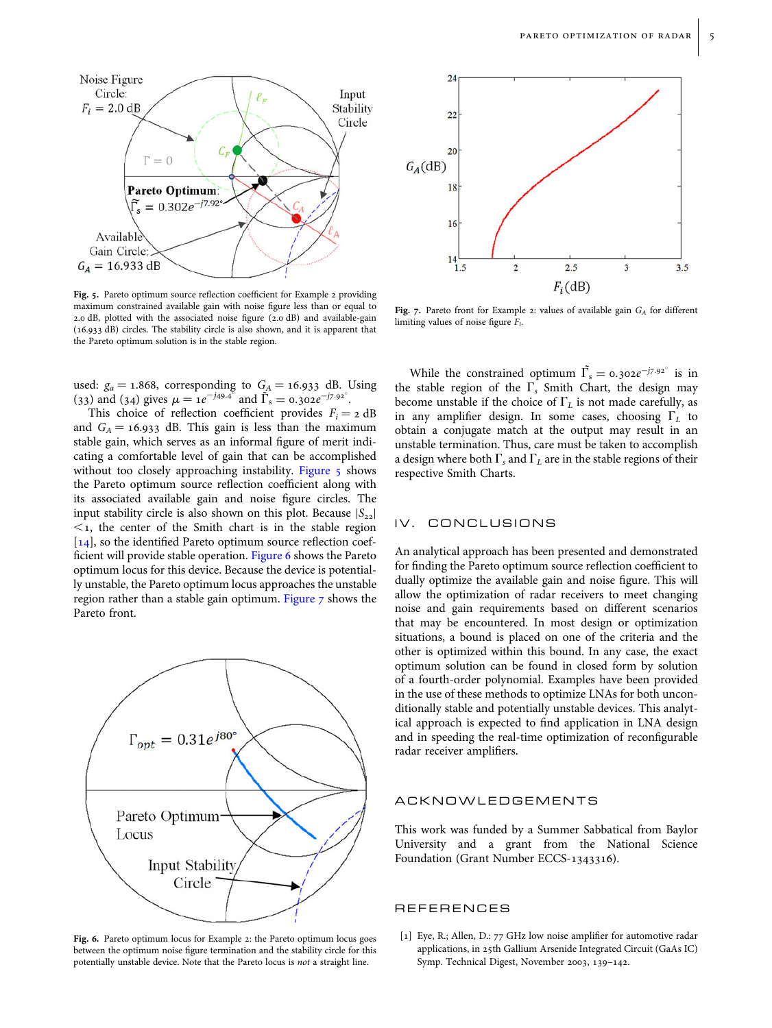<span id="page-4-0"></span>

Fig. 5. Pareto optimum source reflection coefficient for Example 2 providing maximum constrained available gain with noise figure less than or equal to 2.0 dB, plotted with the associated noise figure (2.0 dB) and available-gain (16.933 dB) circles. The stability circle is also shown, and it is apparent that the Pareto optimum solution is in the stable region.

used:  $g_a = 1.868$ , corresponding to  $G_A = 16.933$  dB. Using (33) and (34) gives  $\mu = 1e^{-j49.4^{\circ}}$  and  $\tilde{\Gamma}_s = 0.302e^{-j7.92^{\circ}}$ .

This choice of reflection coefficient provides  $F_i = 2$  dB and  $G_A = 16.933$  dB. This gain is less than the maximum stable gain, which serves as an informal figure of merit indicating a comfortable level of gain that can be accomplished without too closely approaching instability. Figure 5 shows the Pareto optimum source reflection coefficient along with its associated available gain and noise figure circles. The input stability circle is also shown on this plot. Because  $|S_{22}|$  $\leq$  1, the center of the Smith chart is in the stable region [[14](#page-5-0)], so the identified Pareto optimum source reflection coefficient will provide stable operation. Figure 6 shows the Pareto optimum locus for this device. Because the device is potentially unstable, the Pareto optimum locus approaches the unstable region rather than a stable gain optimum. Figure 7 shows the Pareto front.



Fig. 6. Pareto optimum locus for Example 2: the Pareto optimum locus goes between the optimum noise figure termination and the stability circle for this potentially unstable device. Note that the Pareto locus is not a straight line.



Fig. 7. Pareto front for Example 2: values of available gain  $G_A$  for different limiting values of noise figure  $F_i$ .

While the constrained optimum  $\tilde{\Gamma_s} = 0.302e^{-j7.92^\circ}$  is in the stable region of the  $\Gamma_s$  Smith Chart, the design may become unstable if the choice of  $\Gamma_L$  is not made carefully, as in any amplifier design. In some cases, choosing  $\Gamma_L$  to obtain a conjugate match at the output may result in an unstable termination. Thus, care must be taken to accomplish a design where both  $\Gamma_s$  and  $\Gamma_L$  are in the stable regions of their respective Smith Charts.

## IV. CONCLUSIONS

An analytical approach has been presented and demonstrated for finding the Pareto optimum source reflection coefficient to dually optimize the available gain and noise figure. This will allow the optimization of radar receivers to meet changing noise and gain requirements based on different scenarios that may be encountered. In most design or optimization situations, a bound is placed on one of the criteria and the other is optimized within this bound. In any case, the exact optimum solution can be found in closed form by solution of a fourth-order polynomial. Examples have been provided in the use of these methods to optimize LNAs for both unconditionally stable and potentially unstable devices. This analytical approach is expected to find application in LNA design and in speeding the real-time optimization of reconfigurable radar receiver amplifiers.

## ACKNOWLEDGEMENTS

This work was funded by a Summer Sabbatical from Baylor University and a grant from the National Science Foundation (Grant Number ECCS-1343316).

#### REFERENCES

[1] Eye, R.; Allen, D.: 77 GHz low noise amplifier for automotive radar applications, in 25th Gallium Arsenide Integrated Circuit (GaAs IC) Symp. Technical Digest, November 2003, 139–142.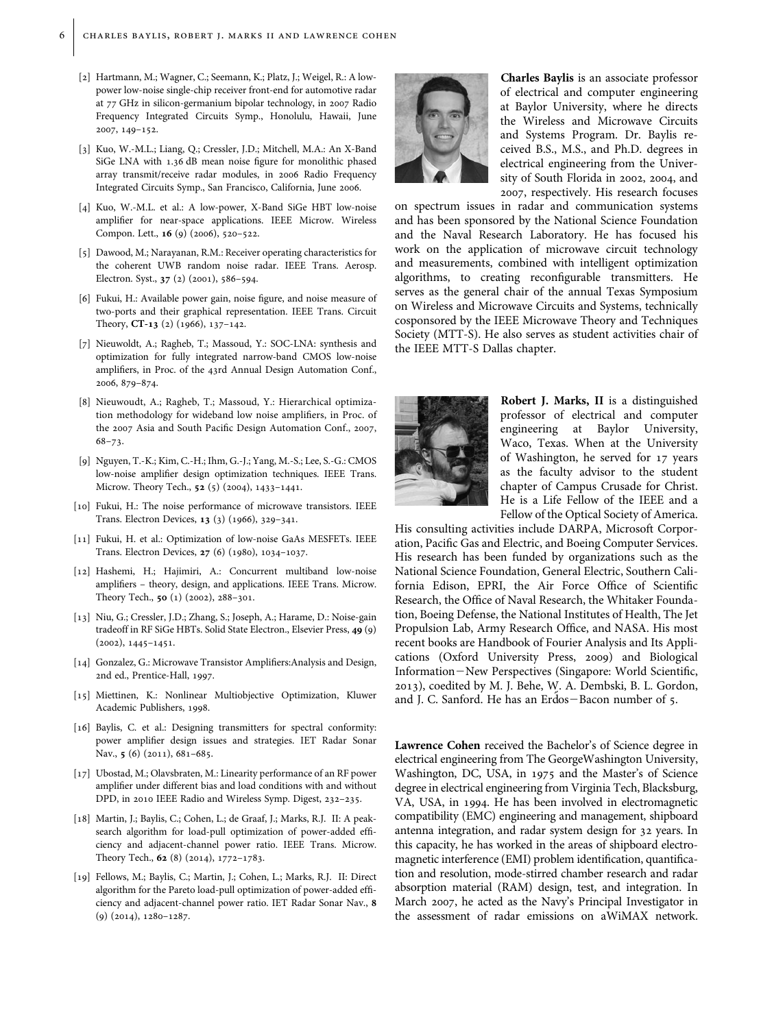- <span id="page-5-0"></span>[2] Hartmann, M.; Wagner, C.; Seemann, K.; Platz, J.; Weigel, R.: A lowpower low-noise single-chip receiver front-end for automotive radar at 77 GHz in silicon-germanium bipolar technology, in 2007 Radio Frequency Integrated Circuits Symp., Honolulu, Hawaii, June 2007, 149–152.
- [3] Kuo, W.-M.L.; Liang, Q.; Cressler, J.D.; Mitchell, M.A.: An X-Band SiGe LNA with 1.36 dB mean noise figure for monolithic phased array transmit/receive radar modules, in 2006 Radio Frequency Integrated Circuits Symp., San Francisco, California, June 2006.
- [4] Kuo, W.-M.L. et al.: A low-power, X-Band SiGe HBT low-noise amplifier for near-space applications. IEEE Microw. Wireless Compon. Lett., **16** (9) (2006), 520-522.
- [5] Dawood, M.; Narayanan, R.M.: Receiver operating characteristics for the coherent UWB random noise radar. IEEE Trans. Aerosp. Electron. Syst., 37 (2) (2001), 586–594.
- [6] Fukui, H.: Available power gain, noise figure, and noise measure of two-ports and their graphical representation. IEEE Trans. Circuit Theory, CT-13 (2) (1966), 137–142.
- [7] Nieuwoldt, A.; Ragheb, T.; Massoud, Y.: SOC-LNA: synthesis and optimization for fully integrated narrow-band CMOS low-noise amplifiers, in Proc. of the 43rd Annual Design Automation Conf., 2006, 879–874.
- [8] Nieuwoudt, A.; Ragheb, T.; Massoud, Y.: Hierarchical optimization methodology for wideband low noise amplifiers, in Proc. of the 2007 Asia and South Pacific Design Automation Conf., 2007, 68–73.
- [9] Nguyen, T.-K.; Kim, C.-H.; Ihm, G.-J.; Yang, M.-S.; Lee, S.-G.: CMOS low-noise amplifier design optimization techniques. IEEE Trans. Microw. Theory Tech., 52 (5) (2004), 1433–1441.
- [10] Fukui, H.: The noise performance of microwave transistors. IEEE Trans. Electron Devices, 13 (3) (1966), 329–341.
- [11] Fukui, H. et al.: Optimization of low-noise GaAs MESFETs. IEEE Trans. Electron Devices, 27 (6) (1980), 1034–1037.
- [12] Hashemi, H.; Hajimiri, A.: Concurrent multiband low-noise amplifiers – theory, design, and applications. IEEE Trans. Microw. Theory Tech., 50 (1) (2002), 288–301.
- [13] Niu, G.; Cressler, J.D.; Zhang, S.; Joseph, A.; Harame, D.: Noise-gain tradeoff in RF SiGe HBTs. Solid State Electron., Elsevier Press, 49 (9) (2002), 1445–1451.
- [14] Gonzalez, G.: Microwave Transistor Amplifiers:Analysis and Design, 2nd ed., Prentice-Hall, 1997.
- [15] Miettinen, K.: Nonlinear Multiobjective Optimization, Kluwer Academic Publishers, 1998.
- [16] Baylis, C. et al.: Designing transmitters for spectral conformity: power amplifier design issues and strategies. IET Radar Sonar Nav., 5 (6) (2011), 681-685.
- [17] Ubostad, M.; Olavsbraten, M.: Linearity performance of an RF power amplifier under different bias and load conditions with and without DPD, in 2010 IEEE Radio and Wireless Symp. Digest, 232–235.
- [18] Martin, J.; Baylis, C.; Cohen, L.; de Graaf, J.; Marks, R.J. II: A peaksearch algorithm for load-pull optimization of power-added efficiency and adjacent-channel power ratio. IEEE Trans. Microw. Theory Tech., 62 (8) (2014), 1772–1783.
- [19] Fellows, M.; Baylis, C.; Martin, J.; Cohen, L.; Marks, R.J. II: Direct algorithm for the Pareto load-pull optimization of power-added efficiency and adjacent-channel power ratio. IET Radar Sonar Nav., 8 (9) (2014), 1280–1287.



Charles Baylis is an associate professor of electrical and computer engineering at Baylor University, where he directs the Wireless and Microwave Circuits and Systems Program. Dr. Baylis received B.S., M.S., and Ph.D. degrees in electrical engineering from the University of South Florida in 2002, 2004, and 2007, respectively. His research focuses

on spectrum issues in radar and communication systems and has been sponsored by the National Science Foundation and the Naval Research Laboratory. He has focused his work on the application of microwave circuit technology and measurements, combined with intelligent optimization algorithms, to creating reconfigurable transmitters. He serves as the general chair of the annual Texas Symposium on Wireless and Microwave Circuits and Systems, technically cosponsored by the IEEE Microwave Theory and Techniques Society (MTT-S). He also serves as student activities chair of the IEEE MTT-S Dallas chapter.



Robert J. Marks, II is a distinguished professor of electrical and computer engineering at Baylor University, Waco, Texas. When at the University of Washington, he served for 17 years as the faculty advisor to the student chapter of Campus Crusade for Christ. He is a Life Fellow of the IEEE and a Fellow of the Optical Society of America.

His consulting activities include DARPA, Microsoft Corporation, Pacific Gas and Electric, and Boeing Computer Services. His research has been funded by organizations such as the National Science Foundation, General Electric, Southern California Edison, EPRI, the Air Force Office of Scientific Research, the Office of Naval Research, the Whitaker Foundation, Boeing Defense, the National Institutes of Health, The Jet Propulsion Lab, Army Research Office, and NASA. His most recent books are Handbook of Fourier Analysis and Its Applications (Oxford University Press, 2009) and Biological Information-New Perspectives (Singapore: World Scientific, 2013), coedited by M. J. Behe, W. A. Dembski, B. L. Gordon, and J. C. Sanford. He has an Erdos-Bacon number of 5.

Lawrence Cohen received the Bachelor's of Science degree in electrical engineering from The GeorgeWashington University, Washington, DC, USA, in 1975 and the Master's of Science degree in electrical engineering from Virginia Tech, Blacksburg, VA, USA, in 1994. He has been involved in electromagnetic compatibility (EMC) engineering and management, shipboard antenna integration, and radar system design for 32 years. In this capacity, he has worked in the areas of shipboard electromagnetic interference (EMI) problem identification, quantification and resolution, mode-stirred chamber research and radar absorption material (RAM) design, test, and integration. In March 2007, he acted as the Navy's Principal Investigator in the assessment of radar emissions on aWiMAX network.